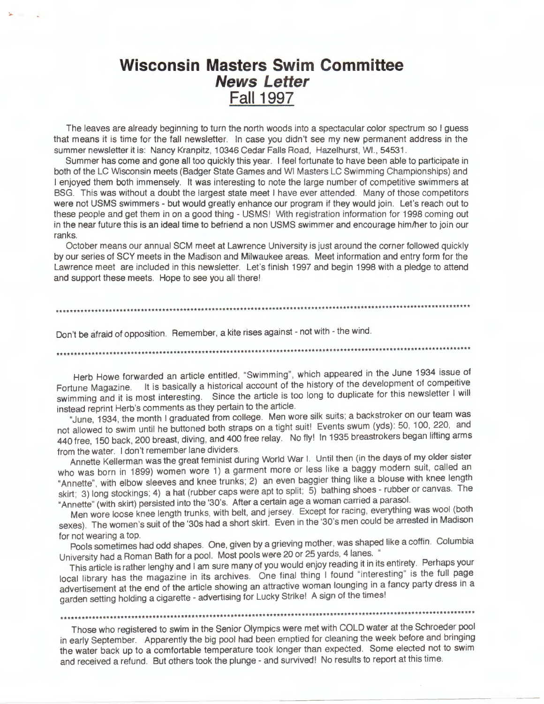# **Wisconsin Masters Swim Committee News Letter Fall 1997**

The leaves are already beginning to turn the north woods into a spectacular color spectrum so I guess that means It Is time for the fall newsletter. In case you didn't see my new permanent address in the summer newsletter it is: Nancy Kranpitz, 10346 Cedar Falls Road, Hazelhurst, WI. , 54531.

Summer has come and gone all too quickly this year. I feel fortunate to have been able to participate in both of the LC Wisconsin meets (Badger State Games and WI Masters LC Swimming Championships) and I enjoyed them both immensely. It was interesting to note the large number of competitive swimmers at BSG. This was without a doubt the largest state meet I have ever attended. Many of those competitors were not USMS swimmers - but would greatly enhance our program if they would join. Let's reach out to these people and get them in on a good thing - USMS! With registration information for 1998 coming out in the near future this is an ideal time to befriend a non USMS swimmer and encourage him/her to join our ranks.

October means our annual SCM meet at Lawrence University is just around the corner followed quickly by our series of SCY meets in the Madison and Milwaukee areas. Meet information and entry form for the Lawrence meet are included in this newsletter. Let's finish 1997 and begin 1998 with a pledge to attend and support these meets. Hope to see you all there!

Don't be afraid of opposition. Remember, a kite rises against - not with - the wind.

\*\*\*\*\*\*\*\*\*\*\*\*\*\*\*\*\*\*\*\*\*\*\*\*\*\*\*\*\*\*\*\*\*\*\*\*\*\*\*\*\*\*\*\*\*\*\*\*\*\*\*\*\*\*\*\*\*\*\*\*\*\*\*\*\*\*\*\*\*\*\*\*\*\*\*\*\*\*\*\*\*\*\*\*\*\*\*\*\*\*\*\*\*\*\*\*\*\*\*\*\*\*\*\*\*\*\*\*\*\*\*\*\*\*\*\*\*

Herb Howe forwarded an article entitled, "Swimming", which appeared in the June 1934 issue of Fortune Magazine. It is basically a historical account of the history of the development of compeitive swimming and it is most interesting. Since the article is too long to duplicate for this newsletter I will instead reprint Herb's comments as they pertain to the article

"June, 1934, the month I graduated from college. Men wore silk suits; a backstroker on our team was not allowed to swim until he buttoned both straps on a tight suit! Events swum (yds): 50, 100, 220, and 440 free, 150 back, 200 breast, diving, and 400 free relay. No fly! In 1935 breastrokers began lifting arms

from the water. I don't remember lane dividers. Annette Kellerman was the great feminist during World War I. Until then (in the days of my older sister who was born in 1899) women wore 1) a garment more or less like a baggy modern suit, called an "Annette", with elbow sleeves and knee trunks; 2) an even baggier thing like a blouse with knee length skirt; 3) long stockings; 4) a hat (rubber caps were apt to split; 5) bathing shoes - rubber or canvas. The "Annette" (with skirt) persisted into the '30's. After a certain age a woman carried a parasol.

Men wore loose knee length trunks, with belt, and jersey. Except for racing, everything was wool (both sexes). The women's suit of the '30s had a short skirt. Even in the '30's men could be arrested in Madison

for not wearing a top. Pools sometimes had odd shapes. One, given by a grieving mother, was shaped like a coffin. Columbia University had a Roman Bath for a pool. Most pools were 20 or 25 yards, 4 lanes. "

This article is rather lenghy and I am sure many of you would enjoy reading it in its entirety. Perhaps your local library has the magazine in its archives. One final thing I found "interesting" is the full page advertisement at the end of the article showing an attractive woman lounging in a fancy party dress in a garden setting holding a cigarette - advertising for Lucky Strike! A sign of the times!

\*\*\*\*\*\*\*\*\*\*\*\*\*\*\*\*\*\*\*\*\*\*\*\*\*\*\*\*\*\*\*\*\*\*\*\*\*\*\*\*\*\*\*\*\*\*\*\*\*\*\*\*\*\*\*\*\*\*\*\*\*\*\*\*\*\*\*\*\*\*\*\*\*\*\*\*\*\*\*\*\*\*\*\*\*\*\*\*\*\*\*\*\*\*\*\*\*\*\*\*\*\*\*\*\*\*\*\*\*\*\*\*\*\*\*\*\*

Those who registered to swim in the Senior Olympics were met with COLD water at the Schroeder pool in early September. Apparently the big pool had been emptied for cleaning the week before and bringing the water back up to a comfortable temperature took longer than expected. Some elected not to swim and received a refund. But others took the plunge - and survived! No results to report at this time.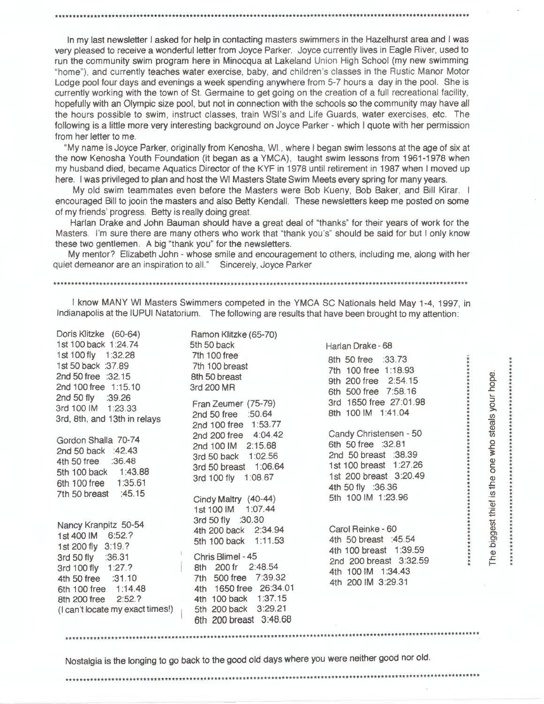In my last newsletter I asked for help in contacting masters swimmers in the Hazelhurst area and I was very pleased to receive a wonderful letter from Joyce Parker. Joyce currently lives in Eagle River, used to run the community swim program here in Minocqua at Lakeland Union High School (my new swimming "home"}, and currently teaches water exercise, baby, and children 's classes in the Rustic Manor Motor Lodge pool four days and evenings a week spending anywhere from 5-7 hours a day in the pool. She is currently working with the town of St. Germaine to get going on the creation of a full recreational facility, hopefully with an Olympic size pool, but not in connection with the schools so the community may have all the hours possible to swim , instruct classes, train WSl's and Life Guards, water exercises, etc. The following is a little more very interesting background on Joyce Parker - which I quote with her permission from her letter to me.

"My name is Joyce Parker, originally from Kenosha, WI., where I began swim lessons at the age of six at the now Kenosha Youth Foundation (it began as a YMCA), taught swim lessons from 1961-1978 when my husband died, became Aquatics Director of the KYF in 1978 until retirement in 1987 when I moved up here. I was privileged to plan and host the WI Masters State Swim Meets every spring for many years.

My old swim teammates even before the Masters were Bob Kueny, Bob Baker, and Bill Kirar. I encouraged Bill to jooin the masters and also Betty Kendall. These newsletters keep me posted on some of my friends' progress. Betty is really doing great.

Harlan Drake and John Bauman should have a great deal of "thanks" for their years of work for the Masters. I'm sure there are many others who work that "thank you's" should be said for but I only know these two gentlemen. A big "thank you" for the newsletters.

My mentor? Elizabeth John - whose smile and encouragement to others, including me, along with her quiet demeanor are an inspiration to all." Sincerely, Joyce Parker

#### \*\*\*\*\*\*\*\*\*\*\*\*\*\*\*\*\*\*\*\*\*\*\*\*\*\*\*\*\*\*\*\*\*\*\*\*\*\*\*\*\*\*\*\*\*\*\*\*\*\*\*\*\*\*\*\*\*\*\*\*\*\*\*\*\*\*\*\*\*\*\*\*\*\*\*\*\*\*\*\*\*\*\*\*\*\*\*\*\*\*\*\*\*\*\*\*\*\*\*\*\*\*\*\*\*\*\*\*\*\*\*\*\*\*\*\*\*

I know MANY WI Masters Swimmers competed in the YMCA SC Nationals held May 1-4, 1997, in Indianapolis at the IUPUI Natatorium. The following are results that have been brought to my attention:

Doris Klitzke (60-64) Ramon Klitzke (65-70) 1st 100 back 1:24.74 5th 50 back Harlan Drake - 68 1st 100 fly 1 :32.28 7th 100 free 8th 50 free :33.73<br>1st 50 back :37.89 7th 100 breast 7th 100 free 1:18.8 1st 50 back :37.89 • 7th 100 breast 7th 100 free 1 :18.93 • • 2nd 50free :32.15 8th 50 breast • • 9th 200 free 2:54.15 • 2nd 50 free :32.15 8th 50 breast 6th 200 free 2:54.15<br>2nd 100 free 1:15.10 3rd 200 MR 6th 500 free 7:58.16 • 2nd 50fly :39.26 • 3rd 1650 free 27:01 .98 • Fran Zeumer (75-79) • 3rd 100 IM 1 :23.33 • • 2nd 50 free :50.64 8th 100 IM 1:41 .04 . 3rd, 8th, and 13th in relays . • 2nd 50 free 1:50.64 8th 100 IM 1:41.04<br>2nd 100 free 1:53.77<br>2nd 200 free 4:04.42 Candy Christensen - 50 • 2nd 200 free 4:04.42 Candy Christensen - 50 • 2nd 100 free 1:53.77<br>Gordon Shalla 70-74 2nd 200 free 4:04.42 Candy Christensen - 50<br>2nd 50 back :42.43 3rd 50 back 1:02.56 2nd 50 breast :38.39<br>4th 50 free :36.48 3rd 50 back 1:02.56 2nd 50 breast :38.39 4th 50 free :36.48 1 st 1 00 breast 1 :27.26 • 3rd 50 breast 1 :06.64 • 5th 100 back 1 :43.88 • 5th 100 back 1:43.88 • 3rd 30 breast 1:06:04<br>
6th 100 free 1:35.61 • 3rd 100 fly 1:08.67 • 1st 200 breast 3:20.49<br>
7th 50 fly :36.36 • 4th 50 fly :36.36 7th 50 breast :45.15 5th 100 IM 1 :23.96 • Cindy Maltry (40-44) . • Cindy Maltry (40-44) 5th 100 IM 1:23.96<br>1st 100 IM 1:07.44 \* \* \* \* \* \* \* 3rd 50 fly :30.30 . Nancy Kranpitz 50-54 • • 4th 200 back 2:34.94 Carol Reinke - <sup>60</sup>• 1st 400 IM 6:52.? • • 5th 100 back 1:11 .53 4th 50 breast :45.54 • • 1st 200 fly 3:19.? 4th 100 breast 1 :39.59 • • Chris Blimel - <sup>45</sup>. 3rd 50 fly :36.31 2nd 200 breast 3:32.59 • • 3rd 50 fly :36.31 Chris Blimel - 45<br>3rd 100 fly 1:27.? 8th 200 fr 2:48.54 4th 100 JM 1:34.43 4th 100 IM 1:34.43 4th 50 free :31.10 7th 500 free 7:39.32 4th 200 IM 3:29.31<br>6th 100 free 1:14.48 4th 1650 free 26:34.01 4th 1650 free 26:34.01 8th 200 free 2:52.? 4th 100 back 1:37.15  $(1$  can't locate my exact times! $)$   $=$  5th 200 back 3:29.21 6th 200 breast 3:48.68

Nostalgia is the longing to go back to the good old days where you were neither good nor old.

\*\*\*\*\*\*\*\*\*\*\*\*\*\*\*\*\*\*\*\*\*\*\*\*\*\*\*\*\*\*\*\*\*\*\*\*\*\*\*\*\*\*\*\*\*\*\*\*\*\*\*\*\*\*\*\*\*\*\*\*\*\*\*\*\*\*\*\*\*\*\*\*\*\*\*\*\*\*\*\*\*\*\*\*\*\*\*\*\*\*\*\*\*\*\*\*\*\*\*\*\*\*\*\*\*\*\*\*\*\*\*\*\*\*\*\*\*.

\*\*\*\*\*\*\*\*\*\*\*\*\*\*\*\*\*\*\*\*\*\*\*\*\*\*\*\*\*\*\*\*\*\*\*\*\*\*\*\*\*\*\*\*\*\*\*\*\*\*\*\*\*\*\*\*\*\*\*\*\*\*\*\*\*\*\*\*\*\*\*\*\*\*\*\*\*\*\*\*\*\*\*\*\*\*\*\*\*\*\*\*\*\*\*\*\*\*\*\*\*\*\*\*\*\*\*\*\*\*\*\*\*\*\*\*\*

• • • • aj . • 0. . 0 • .s:::: . • .... • ::J • • **0** . >, . • *(I)* • cu • • **Q)** . • iii • • 0 . • **.s::::** • ;: . • . **Q)** • **C** • **<sup>0</sup>**• • **Q)** • • £ • . • .!!? . • '\$ . *<sup>E</sup>*. • st thier<br>\*\*\*\*\*\*\*\*\*\* lgest<br>\* \* \* \* \* Cl • • :.0 • • The **t**<br>\*\*\*\*\*\*\*\*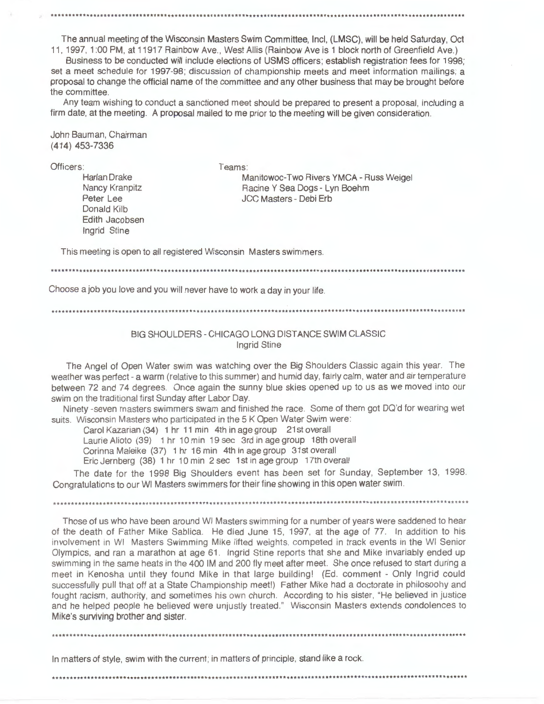The annual meeting of the Wisconsin Masters Swim Committee, Incl, (LMSC), will be held Saturday, Oct 11, 1997, 1:00 PM, at 11917 Rainbow Ave., West Allis (Rainbow Ave is 1 block north of Greenfield Ave.)

Business to be conducted will include elections of USMS officers; establish registration fees for 1998; set a meet schedule for 1997-98; discussion of championship meets and meet information mailings; a proposal to change the official name of the committee and any other business that may be brought before the committee.

Any team wishing to conduct a sanctioned meet should be prepared to present a proposal, including a firm date, at the meeting. A proposal mailed to me prior to the meeting will be given consideration.

John Bauman, Chairman  $(414)$  453-7336

Officers:

Harlan Drake Nancy Kranpitz Peter Lee Donald Kilb Edith Jacobsen Ingrid Stine

Teams: Manitowoc-Two Rivers YMCA - Russ Weigel Racine Y Sea Dogs - Lyn Boehm JCC Masters - Debi Frb

This meeting is open to all registered Wisconsin Masters swimmers.

Choose a job you love and you will never have to work a day in your life.

## BIG SHOULDERS - CHICAGO LONG DISTANCE SWIM CLASSIC **Ingrid Stine**

The Angel of Open Water swim was watching over the Big Shoulders Classic again this year. The weather was perfect - a warm (relative to this summer) and humid day, fairly calm, water and air temperature between 72 and 74 degrees. Once again the sunny blue skies opened up to us as we moved into our swim on the traditional first Sunday after Labor Day.

Ninety -seven masters swimmers swam and finished the race. Some of them got DQ'd for wearing wet suits. Wisconsin Masters who participated in the 5 K Open Water Swim were:

Carol Kazarian (34) 1 hr 11 min 4th in age group 21st overall Laurie Alioto (39) 1 hr 10 min 19 sec 3rd in age group 18th overall Corinna Maleike (37) 1 hr 16 min 4th in age group 31st overall Eric Jernberg (38) 1 hr 10 min 2 sec 1st in age group 17th overall

The date for the 1998 Big Shoulders event has been set for Sunday, September 13, 1998. Congratulations to our WI Masters swimmers for their fine showing in this open water swim.

Those of us who have been around WI Masters swimming for a number of years were saddened to hear of the death of Father Mike Sablica. He died June 15, 1997, at the age of 77. In addition to his involvement in W! Masters Swimming Mike lifted weights, competed in track events in the WI Senior Olympics, and ran a marathon at age 61. Ingrid Stine reports that she and Mike invariably ended up swimming in the same heats in the 400 IM and 200 fly meet after meet. She once refused to start during a meet in Kenosha until they found Mike in that large building! (Ed. comment - Only Ingrid could successfully pull that off at a State Championship meet!) Father Mike had a doctorate in philosoohy and fought racism, authority, and sometimes his own church. According to his sister, "He believed in justice and he helped people he believed were unjustly treated." Wisconsin Masters extends condolences to Mike's surviving brother and sister.

In matters of style, swim with the current; in matters of principle, stand like a rock.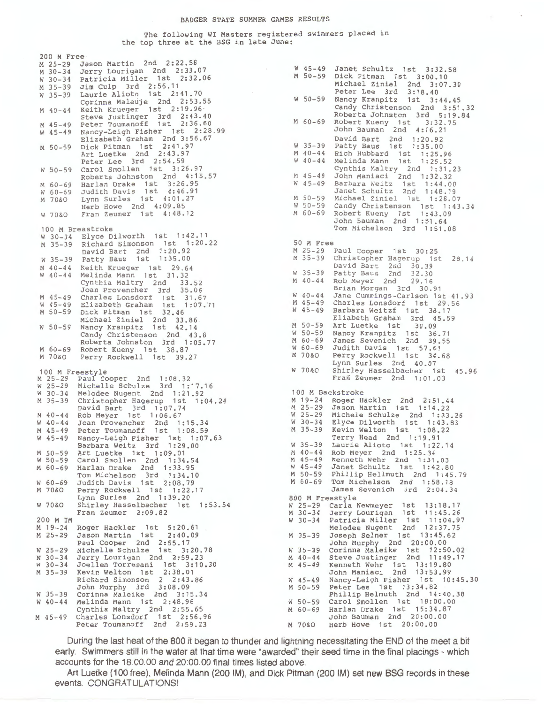#### BADGER STATE SUMMER GAMES RESULTS

### The following WI Masters registered swimmers placed in the top three at the BSG in late June:

200 M Free - M 25-29 Jason Martin 2nd 2:22.58 **<sup>M</sup>**30-34 Jerry Lourigan 2nd 2:33.07 w 30-34 Patricia Miller 1st 2: 32.06 M 35-39 Jim Culp 3rd 2: 56. 11 **w** 35-39 Laurie Alioto 1st 2:41.70 Corinna Maleuje 2nd 2:53.55 **<sup>M</sup>**40-44 Keith Krueger 1st 2:19.96 Steve Justinger 3rd 2:43.40<br>M 45-49 Peter Toumanoff 1st 2:36.60 w 45-49 Nancy-Leigh Fisher 1st 2:28.99 Elizabeth Graham 2nd 3:56.67 **<sup>M</sup>**50-59 Dick Pitman 1st 2:41.97 Art Luetke 2nd 2:43.97 Peter Lee 3rd 2:54.59 w 50-59 Carol Smollen 1st 3:26.97 Roberta Johnston 2nd **4:** 15. 57 M 60-69 Harlan Drake 1st 3:26.95 w 60-69 Judith Davis 1st 4:46.91 M 70&0 Lynn Surles 1st 4:01.27 Herb Howe 2nd 4:09.85 W 70&0 Fran Zeumer 1st 4:48.12 100 M Breastroke w 30-34 Elyce Dilworth 1st 1: 42. 11 M 35-39 Richard Simonson 1st 1: 20. 22 David Bart 2nd 1 :20.92 David Bart 2nd 1:20.92<br>W 35-39 Patty Baus 1st 1:35.00 M 40-44 Keith Krueger 1st 29.64 w 40-44 Melinda Mann 1st 31 . 32 Cynthia Maltry 2nd 33.52 Joan Provencher 3rd 35.06 M 45-49 Charles Lonsdorf 1st 31. 67 w 45-49 Elizabeth Graham 1st 1: 07. 71 M 50-59 Dick Pitman 1st 32.46 Michael Ziniel 2nd 33.86 w 50-59 Nancy Kranpitz 1st 42. 1 4 Candy Christenson 2nd 43.8 Roberta Johnston 3rd 1:05.77 M 60-69 Robert Kueny 1st 38.87 M 70&0 Perry Rockwell 1st 39.27 100 M Freestyle **M** 25-29 Paul Cooper 2nd 1 :08.32 Michelle Schulze 3rd 1:17.16 W 30-34 Melodee Nugent 2nd 1 :21 .92 **<sup>M</sup>**35-39 Christopher Hagerup 1st 1 :04.24 M 40-44 David Bart 3rd 1 :07.74 Rob Meyer 1st 1 :06.67 W 40-44 M 45-49 W 45-49 Nancy-Leigh Fisher 1st 1:07.63 M 50-59 W 50-59 M 60-69 Joan Provencher 2nd 1:15.34 Peter Toumanoff 1st 1:08.59 Barbara Weitz 3rd 1:29.00 Art Luetke 1st 1 : 09. 01 Carol Smollen 2nd 1:34.54 Harlan Drake 2nd 1:33.95 Tom Michelson 3rd 1 :34.10 W 60-69 Judith Davis 1st 2:08.79 M 70&0 Perry Rockwell 1st 1 :22.17 W 70&0 200 M IM M 19-24 M 25-29 w 25-29 M 30-34 w 30-34 M 35-39 w 35-39 w 40-44 M 45-49 Lynn Surles 2nd 1:39.20 Shirley Hasselbacher 1st 1:53.54 Roger Hackler 1st 5:20.61 Jason Martin 1st 2:40.09 Paul Cooper 2nd 2:55.17 Michelle Schulze 1st 3:20.78 Jerry Lourigan 2nd 2:59.23 Joellen Torresani 1st 3:10.30 Kevin Welton 1st 2:38.01 Richard Simonson 2 2:43.86 John Murphy 3rd 3:08.09 Corinna Maleike 2nd 3:15.34 Melinda Mann 1st 2:48.96 Cynthia Maltry 2nd 2:55.65 Charles Lonsdorf 1st 2 :56.96 Peter Toumanoff 2nd 2:59.23

Fran Zeumer 2:09.82 Carla Newmeyer 1st 13:18.17 **<sup>w</sup>**45-49 Janet Schultz 1st 3:32.58 **M** 50-59 Dick Pitman 1st 3:00.10 Michael Ziniel 2nd 3:07.30 Peter Lee 3rd 3:18.40 **w** 50-59 Nancy Kranpitz 1st 3:44.45 Candy Christenson 2nd 3: 51. 32 Roberta Johnston 3rd 5:19.84 **M** 60-69 Robert Kueny 1st 3:32.75 John Bauman 2nd 4:16.21 David Bart 2nd 1: 20. 92 w 35-39 Patty Baus 1st 1: 35. 00 M 40-44 Rich Hubbard 1st 1: 25. 96 w 40-44 Melinda Mann 1st 1 : 25. 52 Cynthis Maltry 2nd 1 : 31 . 23 M 45-49 John Maniaci 2nd 1: 32. 32 w 45-49 Barbara Weitz 1st 1 : **44.** <sup>00</sup> Janet Schultz 2nd 1:48.19 M 50-59 Michael Ziniel 1st 1 : 28. 07 w 50-59 Candy Christenson 1st 1: 43. 34 M 60-69 Robert Kueny 1st 1: 43. 09 John Bauman 2nd 1 : 51 . 64 Tom Michelson 3rd 1 :51.08 50 M Free M 25-29 Paul Cooper 1st 30:25 M 35-39 Christopher Hagerup 1st 28.14 David Bart 2nd 30.39<br>W 35-39 Patty Baus 2nd 32.30 M 40-44 w 40-44 M 45-49 w 45-49 M 50-59 w 50-59 M 60-69 w 60-69 M 70&0 w 70&0 Shirley Hasselbacher 1st 45.96 Patty Baus 2nd 32.30 Rob Meyer 2nd 29.16 Brian Morgan 3rd 30.91 Jane Cummings-Carlson 1st 41 .93 Charles Lonsdorf 1st 29.56 Barbara Weitzf 1st 38.17 Eliabeth Graham 3rd 45.59 Art Luetke 1st 30.09 Nancy Kranpitz 1st 36.71 James Sevenich 2nd 39.55 Judith Davis 1st 57.61 Perry Rockwell 1st 34.68 Lynn Surles 2nd 40.07 Fran Zeumer 2nd 1:01.03 100 M Backstroke M 19-24 Roger Hackler 2nd 2:51 .44 M 25-29 Jason Martin 1st 1:14.22 W 25-29 Michele Schulze 2nd 1 :33.26 W 30-34 Elyce Dilworth 1st 1:43.83 M 35-39 Kevin Welton 1st 1:08.22 Terry Head 2nd 1 :19.91 W 35-39 Laurie Alioto 1st 1 :22.14 M 40 - 44 Rob Meyer 2nd 1 :25.34 M 45-49 W 45-49 M 50-59 M 60-69 Kenneth Wehr 2nd 1 :31 .03 Janet Schultz 1st 1 :42.80 Phillip Hellmuth 2nd 1 :45.79 Tom Michelson 2nd 1 :58.18 James Sevenich 3rd 2:04.34 800 M Freestyle w 25-29 M 30-34 w 30-34 M 35-39 w 35-39 M 40-44 M 45-49 w 45-49 M 50-59 w 50-59 M 60-69 Harlan Drake 1st 15:34.87 M 70&0 Jerry Lourigan 1st 11:45.26 Patricia Miller 1st 11:04.97 Melodee Nugent 2nd 12:37.75 Joseph Selner 1st 13:45.62 John Murphy 2nd 20:00.00 Corinna Maleike 1st 12:50.02 Steve Justinger 2nd 11:49.17 Kenneth Wehr 1st 13:19.80 John Maniaci 2nd 13:53.99 Nancy-Leigh Fisher 1st 10:45.30 Peter Lee 1st 13:34.82 Phillip Helmuth 2nd 14:40.38 Carol Smollen 1st 18:00.00 John Bauman 2nd 20:00.00 Herb Howe 1st 20:00.00

During the last heat of the 800 it began to thunder and lightning necessitating the END of the meet a bit early. Swimmers still in the water at that time were "awarded" their seed time in the final placings - which accounts for the 18:00.00 and 20:00.00 final times listed above.

Art Luetke (100 free). Melinda Mann (200 IM). and Dick Pitman (200 IM) set new BSG records in these events. CONGRATULATIONS!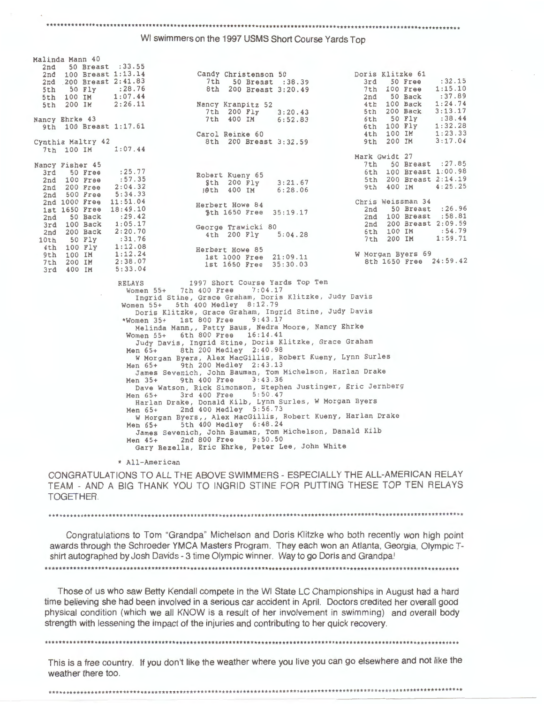#### \*\*\*\*\*\*\*\*\*\*\*\*\*\*\*\*\*\*\*\*\*\*\*\*

WI swimmers on the 1997 USMS Short Course Yards Top

| 2nd 50 Breast : 33.55  |                     |                                                                |     |                        |         |
|------------------------|---------------------|----------------------------------------------------------------|-----|------------------------|---------|
| 2nd 100 Breast 1:13.14 |                     | Candy Christenson 50 Doris Klitzke 61                          |     |                        |         |
|                        |                     | 2nd 200 Breast 2:41.83 7th 50 Breast :38.39 3rd 50 Free :32.15 |     |                        |         |
| 5th 50 Fly : 28.76     |                     | 8th 200 Breast 3:20.49                                         |     | 7th 100 Free           | 1:15.10 |
| 5th 100 IM 1:07.44     |                     |                                                                |     | 2nd 50 Back : 37.89    |         |
|                        |                     | 5th 200 IM 2:26.11 Nancy Kranpitz 52                           |     | 4th 100 Back 1:24.74   |         |
|                        |                     | 7th 200 Fly 3:20.43                                            |     | 5th 200 Back           | 3:13.17 |
| Nancy Ehrke 43         |                     | 7th 400 IM 6:52.83                                             |     | 6th 50 Fly : 38.44     |         |
| 9th 100 Breast 1:17.61 |                     |                                                                |     | 6th 100 Fly 1:32.28    |         |
|                        |                     | Carol Reinke 60                                                |     | 4th 100 IM             | 1:23.33 |
|                        | Cynthia Maltry 42   | 8th 200 Breast 3:32.59                                         |     | 9th 200 IM             | 3:17.04 |
| 7th 100 IM 1:07.44     |                     |                                                                |     |                        |         |
|                        |                     |                                                                |     | Mark Gwidt 27          |         |
|                        |                     |                                                                |     | 7th 50 Breast : 27.85  |         |
| Nancy Fisher 45        |                     |                                                                |     |                        |         |
|                        | 3rd 50 Free : 25.77 |                                                                |     | 6th 100 Breast 1:00.98 |         |
| 2nd 100 Free : 57.35   |                     | Robert Kueny 65<br>9th 200 Fly 3:21.67                         |     | 5th 200 Breast 2:14.19 |         |
| 2nd 200 Free 2:04.32   |                     | 10th 400 IM 6:28.06                                            |     | 9th 400 IM 4:25.25     |         |
| 2nd 500 Free 5:34.33   |                     |                                                                |     |                        |         |
| 2nd 1000 Free 11:51.04 |                     | Herbert Howe 84                                                |     | Chris Weissman 34      |         |
| 1st 1650 Free          | 18:49.10            | 5th 1650 Free 35:19.17                                         |     | 2nd 50 Breast : 26.96  |         |
| 2nd 50 Back            | : 29.42             |                                                                |     | 2nd 100 Breast : 58.81 |         |
| 3rd 100 Back           | 1:05.17             | George Trawicki 80                                             | 2nd | 200 Breast 2:09.59     |         |
| 2nd 200 Back 2:20.70   |                     | 4th 200 Fly 5:04.28                                            |     | 6th 100 IM :54.79      |         |
| 10th 50 Fly :31.76     |                     |                                                                | 7th | 200 IM 1:59.71         |         |
| 4th 100 Fly 1:12.08    |                     | Herbert Howe 85                                                |     |                        |         |
| 9th 100 IM 1:12.24     |                     | 1st 1000 Free 21:09.11                                         |     | W Morgan Byers 69      |         |
|                        | 7th 200 IM 2:38.07  | 1st 1650 Free 35:30.03                                         |     | 8th 1650 Free 24:59.42 |         |
| 3rd 400 IM 5:33.04     |                     |                                                                |     |                        |         |
|                        |                     |                                                                |     |                        |         |

RELAYS 1997 Short Course Yards Top Ten<br>Women 55+ 7th 400 Free 7:04.17 Women 55+ 7th 400 Free Ingrid Stine, Grace Graham, Doris Klitzke, Judy Davis Women 55+ 5th 400 Medley 8:12 . 79 Doris Klitzke, Grace Graham, Ingrid Stine, Judy Davis<br>\*Women 35+ 1st 800 Free 9:43.17 \*Women 35+ 1st 800 Free 9:43. 17 Melinda Mann,, Patty Baus, Nedra Moore, Nancy Ehrke Women 55+ 6th 800 Free 16:14.41 Judy Davis, Ingrid Stine, Doris Klitzke, Grace Graham Men 65+ 8th 200 Medley 2:40.98 W Morgan Byers, Alex MacGillis, Robert Kueny, Lynn Surles Men 65+ 9th 200 Medley 2:43 . 13 James sevenich, John Bauman, Tom Michelson, Harlan Drake Men 35+ 9th 400 Free 3:43.36 Men 35+ 9th 400 Free 3:43.36<br>Dave Watson, Rick Simonson, Stephen Justinger, Eric Jernberg<br>Men 65+ 3rd 400 Free 5:50.47 Men 65+ 3rd 400 Free 5 : 50 . 47 Harlan Drake, Donald Kilb, Lynn Surles , W Morgan Byers Men 65+ 2nd 400 Medley 5:56.73 W Morgan Byers,, Alex MacGillis, Robert Kueny, Harlan Drake Men 65+ 5th 400 Medley 6 : 48.24 James Sevenich, John Bauman, Tom Michelson, Danald Kilb Men 45+ 2nd 800 Free 9:50.50 Gary Bezella, Eric Ehrke, Peter Lee, John White

\* All-American

Malinda Mann 40

CONGRATULATIONS TO ALL THE ABOVE SWIMMERS - ESPECIALLY THE ALL-AMERICAN RELAY TEAM - AND A BIG THANK YOU TO INGRID STINE FOR PUTTING THESE TOP TEN RELAYS TOGETHER.

\*\*\*\*\*\*\*\*\*\*\*\*\*\*\*\*\*\*\*\*\*\*\*\*\*\*\*\*\*\*\*\*\*\*

Congratulations to Tom "Grandpa" Michelson and Doris Klitzke who both recently won high point awards through the Schroeder YMCA Masters Program. They each won an Atlanta, Georgia, Olympic Tshirt autographed by Josh Davids - 3 time Olympic winner. Way to go Doris and Grandpa!

Those of us who saw Betty Kendall compete in the WI State LC Championships in August had a hard time believing she had been involved in a serious car accident in April. Doctors credited her overall good physical condition (which we all KNOW is a result of her involvement in swimming) and overall body strength with lessening the impact of the injuries and contributing to her quick recovery.

\*\*\*\*\*\*\*\*\*\*\*\*\*\*\*\*\*\*\*\*\*\*\*\*\*\*\*\*\*\*\*\*\*\*\*\*\*\*\*\*\*\*\*\*\*\*\*\*\*\*\*\*\*\*\*\*\*\*\*\*\*\*\*\*\*\*\*\*\*\*\*\*\*\*\*\*\*\*\*\*\*\*\*\*\*\*\*\*\*\*\*\*\*\*\*\*\*\*\*\*\*\*\*\*\*\*\*\*\*\*\*\*\*\*\*\*\*

This is a free country. If you don't like the weather where you live you can go elsewhere and not like the weather there too.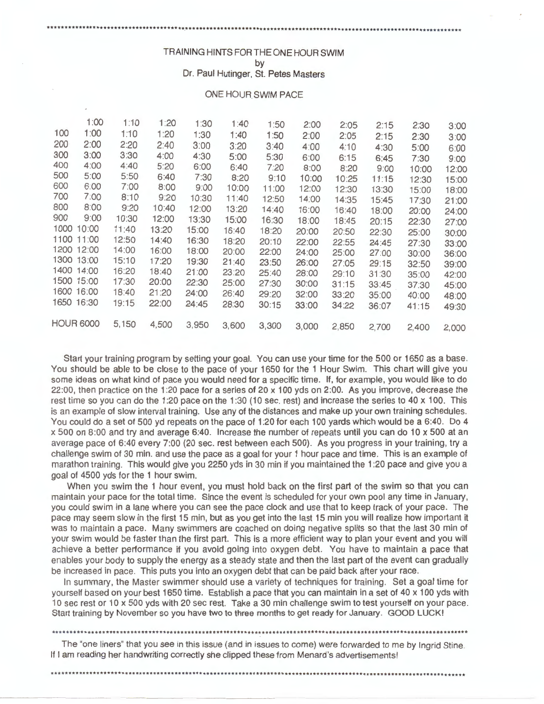## TRAINING HINTS FOR THE ONE HOUR SWIM by

Dr. Paul Hutinger, St. Petes Masters

## ONE HOUR SWIM PACE

|      | 1:00             | 1:10  | 1:20  | 1:30  | 1:40  | 1:50  | 2:00  | 2:05  | 2:15  | 2:30  | 3:00  |
|------|------------------|-------|-------|-------|-------|-------|-------|-------|-------|-------|-------|
| 100  | 1:00             | 1:10  | 1:20  | 1:30  | 1:40  | 1:50  | 2:00  | 2:05  | 2:15  | 2:30  | 3:00  |
| 200  | 2:00             | 2:20  | 2:40  | 3:00  | 3:20  | 3:40  | 4:00  | 4:10  | 4:30  | 5:00  | 6:00  |
| 300  | 3:00             | 3:30  | 4:00  | 4:30  | 5:00  | 5:30  | 6:00  | 6:15  | 6:45  | 7:30  | 9:00  |
| 400  | 4:00             | 4:40  | 5:20  | 6:00  | 6:40  | 7:20  | 8:00  | 8:20  | 9:00  | 10:00 | 12:00 |
| 500  | 5:00             | 5:50  | 6:40  | 7:30  | 8:20  | 9:10  | 10:00 | 10:25 | 11:15 | 12:30 | 15:00 |
| 600  | 6:00             | 7:00  | 8:00  | 9:00  | 10:00 | 11:00 | 12:00 | 12:30 | 13:30 | 15:00 | 18:00 |
| 700  | 7:00             | 8:10  | 9:20  | 10:30 | 11:40 | 12:50 | 14:00 | 14:35 | 15:45 | 17:30 | 21:00 |
| 800  | 8:00             | 9:20  | 10:40 | 12:00 | 13:20 | 14:40 | 16:00 | 16:40 | 18:00 | 20:00 | 24:00 |
| 900  | 9:00             | 10:30 | 12:00 | 13:30 | 15:00 | 16:30 | 18:00 | 18:45 | 20:15 | 22:30 | 27:00 |
| 1000 | 10:00            | 11:40 | 13:20 | 15:00 | 16:40 | 18:20 | 20:00 | 20:50 | 22:30 | 25:00 | 30:00 |
| 1100 | 11:00            | 12:50 | 14:40 | 16:30 | 18:20 | 20:10 | 22:00 | 22:55 | 24:45 | 27:30 | 33:00 |
| 1200 | 12:00            | 14:00 | 16:00 | 18:00 | 20:00 | 22:00 | 24:00 | 25:00 | 27:00 | 30:00 | 36:00 |
|      | 1300 13:00       | 15:10 | 17:20 | 19:30 | 21:40 | 23:50 | 26:00 | 27:05 | 29:15 | 32:50 | 39:00 |
| 1400 | 14:00            | 16:20 | 18:40 | 21:00 | 23:20 | 25:40 | 28:00 | 29:10 | 31:30 | 35:00 | 42:00 |
| 1500 | 15:00            | 17:30 | 20:00 | 22:30 | 25:00 | 27:30 | 30:00 | 31:15 | 33:45 | 37:30 | 45:00 |
| 1600 | 16:00            | 18:40 | 21:20 | 24:00 | 26:40 | 29:20 | 32:00 | 33:20 | 35:00 | 40:00 | 48:00 |
| 1650 | 16:30            | 19:15 | 22:00 | 24:45 | 28:30 | 30:15 | 33:00 | 34:22 | 36:07 | 41:15 | 49:30 |
|      |                  |       |       |       |       |       |       |       |       |       |       |
|      | <b>HOUR 6000</b> | 5,150 | 4,500 | 3,950 | 3,600 | 3,300 | 3,000 | 2,850 | 2,700 | 2,400 | 2,000 |

Start your training program by setting your goal. You can use your time for the 500 or 1650 as a base. You should be able to be close to the pace of your 1650 for the 1 Hour Swim. This chart will give you some ideas on what kind of pace you would need for a specific time. If, for example, you would like to do 22:00, then practice on the 1:20 pace for a series of 20 x 100 yds on 2:00. As you improve, decrease the rest time so you can do the 1:20 pace on the 1:30 (10 sec. rest) and increase the series to 40 x 100. This is an example of slow interval training. Use any of the distances and make up your own training schedules. You could do a set of 500 yd repeats on the pace of 1 :20 for each 100 yards which would be a 6:40. Do 4 x 500 on 8:00 and try and average 6:40. Increase the number of repeats until you can do 10 x 500 at an average pace of 6:40 every 7:00 (20 sec. rest between each 500). As you progress in your training, try a challenge swim of 30 min. and use the pace as a goal for your 1 hour pace and time. This is an example of marathon training. This would give you 2250 yds in 30 min if you maintained the 1 :20 pace and give you a goal of 4500 yds for the 1 hour swim.

When you swim the 1 hour event, you must hold back on the first part of the swim so that you can maintain your pace for the total time. Since the event is scheduled for your own pool any time in January, you could swim in a lane where you can see the pace clock and use that to keep track of your pace. The pace may seem slow in the first 15 min, but as you get into the last 15 min you will realize how important it was to maintain a pace. Many swimmers are coached on doing negative splits so that the last 30 min of your swim would be faster than the first part. This is a more efficient way to plan your event and you will achieve a better performance if you avoid going into oxygen debt. You have to maintain a pace that enables your body to supply the energy as a steady state and then the last part of the event can gradually be increased in pace. This puts you into an oxygen debt that can be paid back after your race.

In summary, the Master swimmer should use a variety of techniques for training. Set a goal time for yourself based on your best 1650 time. Establish a pace that you can maintain in a set of 40 x 100 yds with 10 sec rest or 10 x 500 yds with 20 sec rest. Take a 30 min challenge swim to test yourself on your pace. Start training by November so you have two to three months to get ready for January. GOOD LUCK!

•••••••••••••••••••••••••••••••••••••••••••••••••••••••••••••••••••••••••••••••••••••••••••••••••••••••••••••••••••••

The "one liners" that you see in this issue (and in issues to come) were forwarded to me by Ingrid Stine. If I am reading her handwriting correctly she clipped these from Menard's advertisements!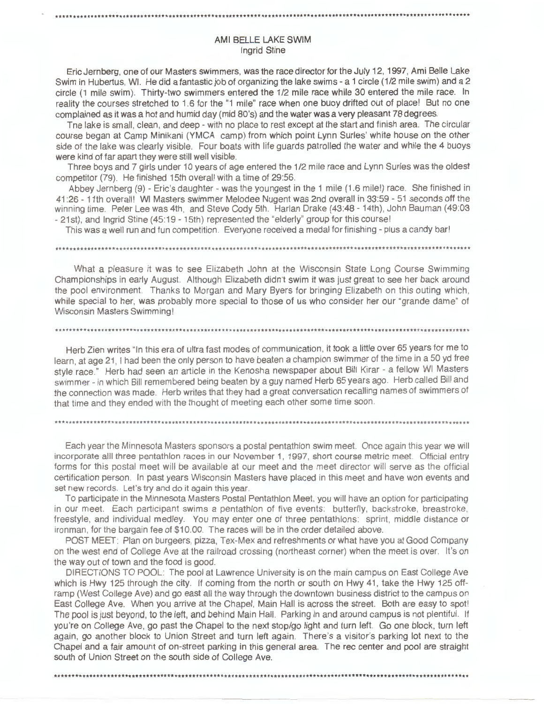# AMI BELLE LAKE **SWIM**  Ingrid Stine

\*\*\*\*\*\*\*\*\*\*\*\*\*\*\*\*\*\*\*\*\*\*\*\*\*\*\*\*\*\*\*\*\*\*\*\*\*\*\*\*\*\*\*\*\*\*\*\*\*\*\*\*\*\*\*\*\*\*\*\*\*\*\*\*\*\*\*\*\*\*\*\*\*\*\*\*\*\*\*\*\*\*\*\*\*\*\*\*\*\*\*\*\*\*\*\*\*\*\*\*\*\*\*\*\*\*\*\*\*\*\*\*\*\*\*\*\*

Eric Jernberg, one of our Masters swimmers, was the race director for the July 12, 1997, Ami Belle Lake Swim in Hubertus, WI. He did a fantastic job of organizing the lake swims - a 1 circle (1/2 mile swim) and a 2 circle (1 mile swim). Thirty-two swimmers entered the 1/2 mile race while 30 entered the mile race. In reality the courses stretched to 1.6 for the "1 mile" race when one buoy drifted out of place! But no one complained as it was a hot and humid day (mid 80's) and the water was a very pleasant 78 degrees.

Tne lake is small, clean, and deep - with no place to rest except at the start and finish area. The circular course began at Camp Minikani (YMCA camp) from which point Lynn Surles' white house on the other side of the lake was clearly visible. Four boats with life guards patrolled the water and while the 4 buoys were kind of far apart they were still well visible.

Three boys and 7 girls under 10 years of age entered the 1 /2 mile race and Lynn Surles was the oldest competitor (79). He finished 15th overall with a time of 29:56.

Abbey Jernberg (9) - Eric's daughter - was the youngest in the 1 mile (1.6 mile!) race. She finished in 41 :26 - 11th overall! WI Masters swimmer Melodee Nugent was 2nd overall in 33:59 - 51 seconds off the winning time. Peter Lee was 4th, and Steve Cody 5th. Harlan Drake (43:48 - 14th), John Bauman (49:03 - 21st), and Ingrid Stine (45:19 - 15th) represented the "elderly" group for this course!

This was a well run and fun competition. Everyone received a medal for finishing - plus a candy bar!

\*\*\*\*\*\*\*\*\*\*\*\*\*\*\*\*\*\*\*\*\*\*\*\*\*\*\*\*\*\*\*\*\*\*••·················································································

What a pleasure it was to see Elizabeth John at the Wisconsin State Long Course Swimming Championships in early August. Although Elizabeth didn't swim it was just great to see her back around the pool environment. Thanks to Morgan and Mary Byers for bringing Elizabeth on this outing which , while special to her, was probably more special to those of us who consider her our "grande dame" of Wisconsin Masters Swimming!

\*\*\*\*\*\*\*\*\*\*\*\*\*\*\*\*\*\*\*\*\*\*\*\*\*\*\*\*\*\*\*\*\*\*\*\*\*\*\*\*\*\*\*\*\*\*\*\*\*\*\*\*\*\*\*\*\*\*\*\*\*\*\*\*\*\*\*\*\*\*\*\*\*\*\*\*\*\*\*\*\*\*\*\*\*\*\*\*\*\*\*\*\*\*\*\*\*\*\*\*\*\*\*\*\*\*\*\*\*\*\*\*\*\*\*\*\*

Herb Zien writes "In this era of ultra fast modes of communication, it took a little over 65 years for me to learn, at age 21, I had been the only person to have beaten a champion swimmer of the time in a 50 yd free style race." Herb had seen an article in the Kenosha newspaper about Bill Kirar - a fellow WI Masters swimmer - in which Bill remembered being beaten by a guy named Herb 65 years ago. Herb called Bill and the connection was made. Herb writes that they had a great conversation recalling names of swimmers of that time and they ended with the thought of meeting each other some time soon.

#### \*\*\*\*\*\*\*\*\*\*\*••········································································································

Each year the Minnesota Masters sponsors a postal pentathlon swim meet. Once again this year we will incorporate alll three pentathlon races in our November 1, 1997, short course metric meet. Official entry forms for this postal meet will be available at our meet and the meet director will serve as the official certification person. In past years Wisconsin Masters have placed in this meet and have won events and set new records. Let's try and do it again this year.

To participate in the Minnesota Masters Postal Pentathlon Meet, you will have an option for participating in our meet. Each participant swims a pentathlon of five events: butterfly, backstroke, breastroke, freestyle, and individual medley. You may enter one of three pentathlons: sprint, middle distance or ironman, for the bargain fee of \$10.00. The races will be in the order detailed above.

POST MEET: Plan on burgeers, pizza, Tex-Mex and refreshments or what have you at Good Company on the west end of College Ave at the railroad crossing (northeast corner) when the meet is over. It's on the way out of town and the food is good.

DIRECTIONS TO POOL: The pool at Lawrence University is on the main campus on East College Ave which is Hwy 125 through the city. If coming from the north or south on Hwy 41, take the Hwy 125 offramp (West College Ave) and go east all the way through the downtown business district to the campus on East College Ave. When you arrive at the Chapel, Main Hall is across the street. Both are easy to spot! The pool is just beyond, to the left, and behind Main Hall. Parking in and around campus is not plentiful. If you 're on College Ave, go past the Chapel to the next stop/go light and turn left. Go one block, turn left again, go another block to Union Street and turn left again. There's a visitor's parking lot next to the Chapel and a fair amount of on-street parking in this general area. The rec center and pool are straight south of Union Street on the south side of College Ave.

\*\*\*\*\*\*\*••·····••\*\*\*\*\*\*\*\*\*\*\*\*\*\*\*\*\*\*\*\*\*\*\*\*\*\*\*\*\*\*\*\*\*\*\*\*\*\*\*\*\*\*\*\*\*\*\*\*\*\*\*\*\*\*\*\*\*\*\*\*\*\*\*\*\*\*\*\*\*\*\*\*\*\*\*\*\*\*\*\*\*\*\*\*\*\*\*\*\*\*\*\*\*\*\*\*\*\*\*\*\*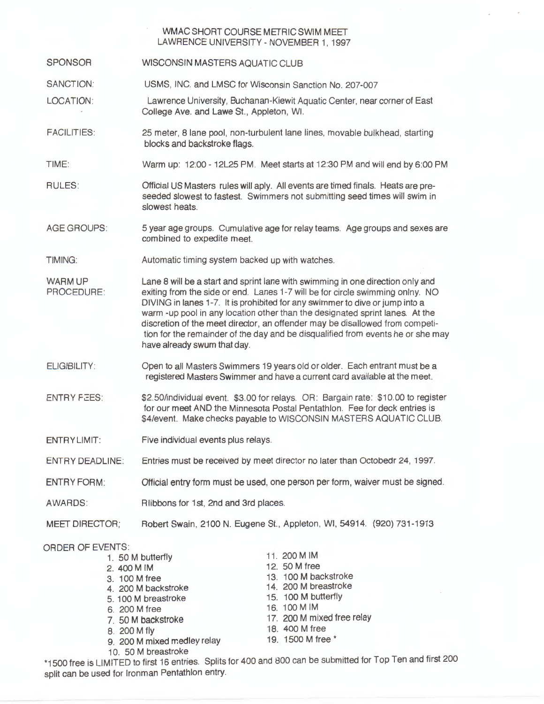# WMAC SHORT COURSE METRIC SWIM MEET LAWRENCE UNIVERSITY- NOVEMBER 1, 1997

**SPONSOR** WISCONSIN MASTERS AQUATIC CLUB

SANCTION: USMS, INC. and LMSC for Wisconsin Sanction No. 207-007

LOCATION: Lawrence University, Buchanan-Kiewit Aquatic Center, near corner of East College Ave. and Lawe St., Appleton, WI.

FACILITIES: 25 meter, 8 lane pool, non-turbulent lane lines, movable bulkhead, starting blocks and backstroke flags.

TIME: Warm up: 12:00 - 12L25 PM. Meet starts at 12:30 PM and will end by 6:00 PM

RULES: Official US Masters rules will aply. All events are timed finals. Heats are preseeded slowest to fastest. Swimmers not submitting seed times will swim in slowest heats.

AGE GROUPS: 5 year age groups. Cumulative age for relay teams. Age groups and sexes are combined to expedite meet.

TIMING: Automatic timing system backed up with watches.

WARM UP PROCEDURE: Lane 8 will be a start and sprint lane with swimming in one direction only and exiting from the side or end. Lanes 1-7 will be for circle swimming onlny. NO DIVING in lanes 1-7. It is prohibited for any swimmer to dive or jump into a warm -up pool in any location other than the designated sprint lanes. At the discretion of the meet director, an offender may be disallowed from competition for the remainder of the day and be disqualified from events he or she may have already swum that day.

ELIGIBILITY: Open to all Masters Swimmers 19 years old or older. Each entrant must be a registered Masters Swimmer and have a current card available at the meet.

**ENTRY FEES:** \$2.50/individual event. \$3.00 for relays. OR: Bargain rate: \$10.00 to register for our meet AND the Minnesota Postal Pentathlon. Fee for deck entries is \$4/event. Make checks payable to WISCONSIN MASTERS AQUATIC CLUB.

ENTRY LIMIT: Five individual events plus relays.

ENTRY DEADLINE: Entries must be received by meet director no later than Octobedr 24, 1997.

Official entry form must be used, one person per form, waiver must be signed. ENTRY FORM:

R libbons for 1st, 2nd and 3rd places. AWARDS:

MEET DIRECTOR; Robert Swain, 2100 N. Eugene St., Appleton, WI, 54914. (920) 731-1913

ORDER OF EVENTS:

| 11. 200 M IM                                                                                                                                                                                                 |                |
|--------------------------------------------------------------------------------------------------------------------------------------------------------------------------------------------------------------|----------------|
| 12. 50 M free                                                                                                                                                                                                |                |
| 13. 100 M backstroke                                                                                                                                                                                         |                |
| 14. 200 M breastroke                                                                                                                                                                                         |                |
| 15. 100 M butterfly                                                                                                                                                                                          |                |
| 16. 100 M IM                                                                                                                                                                                                 |                |
| 17. 200 M mixed free relay                                                                                                                                                                                   |                |
|                                                                                                                                                                                                              |                |
| 19. 1500 M free *                                                                                                                                                                                            |                |
|                                                                                                                                                                                                              |                |
| 1. 50 M butterfly<br>2. 400 M IM<br>3. 100 M free<br>4. 200 M backstroke<br>5. 100 M breastroke<br>6. 200 M free<br>7. 50 M backstroke<br>8. 200 M fly<br>9. 200 M mixed medley relay<br>10. 50 M breastroke | 18. 400 M free |

\*1500 free is LIMITED to first 16 entries. Splits for 400 and 800 can be submitted for Top Ten and first 200 split can be used for lronman Pentathlon entry.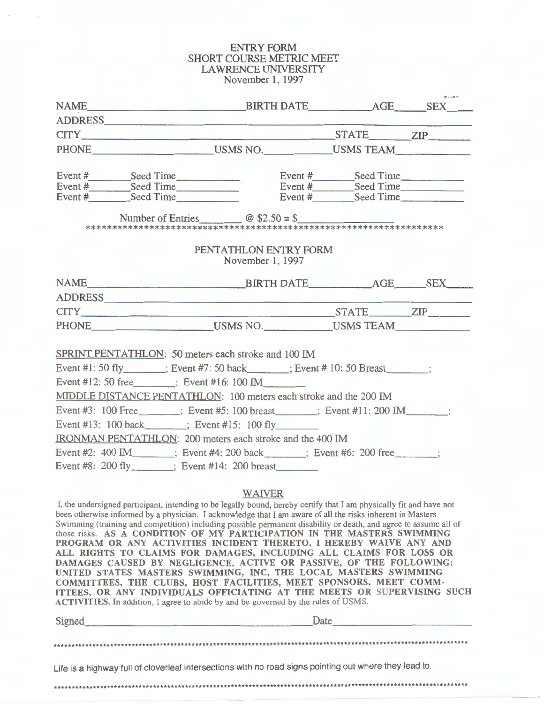# ENTRY FORM SHORT COURSE METRIC MEET LAWRENCE UNIVERSITY November 1, 1997

| NAME BIRTH DATE AGE SEX                                                                                                                                                                                                                                     |                                           |  |
|-------------------------------------------------------------------------------------------------------------------------------------------------------------------------------------------------------------------------------------------------------------|-------------------------------------------|--|
|                                                                                                                                                                                                                                                             |                                           |  |
| CITY <u>CITY</u> <b>EXAMPLE 2D</b>                                                                                                                                                                                                                          |                                           |  |
| PHONE USMS NO. USMS TEAM                                                                                                                                                                                                                                    |                                           |  |
|                                                                                                                                                                                                                                                             |                                           |  |
| Event #<br>Event #<br>Event #<br>Event #<br>Event #<br>Seed Time<br>Event #<br>Seed Time<br>Event #<br>Seed Time<br>Event #<br>Seed Time<br>Event #<br>Seed Time<br>Event #<br>Seed Time                                                                    |                                           |  |
|                                                                                                                                                                                                                                                             |                                           |  |
| Number of Entries $\omega$ \$2.50 = \$                                                                                                                                                                                                                      |                                           |  |
|                                                                                                                                                                                                                                                             | PENTATHLON ENTRY FORM<br>November 1, 1997 |  |
|                                                                                                                                                                                                                                                             |                                           |  |
| ADDRESS                                                                                                                                                                                                                                                     |                                           |  |
|                                                                                                                                                                                                                                                             |                                           |  |
| PHONE USMS NO. USMS TEAM                                                                                                                                                                                                                                    |                                           |  |
| SPRINT PENTATHLON: 50 meters each stroke and 100 IM<br>Event #1: 50 fly_______; Event #7: 50 back______; Event # 10: 50 Breast____;<br>Event #12: 50 free $\qquad$ ; Event #16: 100 IM<br>MIDDLE DISTANCE PENTATHLON: 100 meters each stroke and the 200 IM |                                           |  |
| Event #3: 100 Free _______; Event #5: 100 breast _____; Event #11: 200 IM ______;                                                                                                                                                                           |                                           |  |
| Event #13: 100 back_______; Event #15: 100 fly________                                                                                                                                                                                                      |                                           |  |
| IRONMAN PENTATHLON: 200 meters each stroke and the 400 IM                                                                                                                                                                                                   |                                           |  |
| Event #2: 400 IM ; Event #4: 200 back ; Event #6: 200 free ;                                                                                                                                                                                                |                                           |  |
| Event #8: 200 fly $\therefore$ Event #14: 200 breast                                                                                                                                                                                                        |                                           |  |
|                                                                                                                                                                                                                                                             |                                           |  |

## **WAIVER**

I, the undersigned participant, intending to be legally bound, hereby certify that I am physically fit and have not been otherwise informed by a physician. I acknowledge that I am aware of all the risks inherent in Masters Swimming (training and competition) including possible permanent disability or death, and agree to assume all of those risks. **AS A CONDITION OF MY PARTICIPATION IN THE MASTERS SWIMMING PROGRAM OR ANY ACTIVITIES INCIDENT THERETO,** I **HEREBY WAIVE ANY AND ALL RIGHTS TO CLAIMS FOR DAMAGES, INCLUDING ALL CLAIMS FOR LOSS OR DAMAGES CAUSED BY NEGLIGENCE, ACTIVE OR PASSIVE, OF THE FOLLOWING: UNITED STATES MASTERS SWIMMING, INC, THE LOCAL MASTERS SWIMMING COMMITTEES, THE CLUBS, HOST FACILITIES, MEET SPONSORS, MEET COMM-ITTEES, OR ANY INDIVIDUALS OFFICIATING AT THE MEETS OR SUPERVISING SUCH ACTIVITIES.** In addition, I agree to abide by and be governed by the rules of USMS. Signed. \_\_\_\_\_\_\_\_\_\_\_\_\_\_\_\_\_\_\_ Date \_\_\_\_\_\_\_\_\_\_\_ \_

\*\*\*\*\*\*\*\*\*\*\*\*\*\*\*\*\*\*\*\*\*\*\*\*\*\*\*\*\*\*\*\*\*\*\*\*\*\*\*\*\*\*\*\*\*\*\*\*\*\*\*\*\*\*\*\*\*\*\*\*\*\*\*\*\*\*\*\*\*\*\*\*\*\*\*\*\*\*\*\*\*\*\*\*\*\*\*\*\*\*\*\*\*\*\*\*\*\*\*\*\*\*\*\*\*\*\*\*\*\*\*\*\*\*\*\*\*

Life is a highway full of cloverleaf intersections with no road signs pointing out where they lead to.